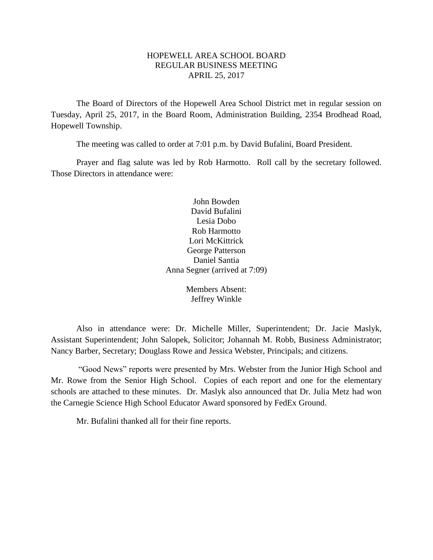# HOPEWELL AREA SCHOOL BOARD REGULAR BUSINESS MEETING APRIL 25, 2017

The Board of Directors of the Hopewell Area School District met in regular session on Tuesday, April 25, 2017, in the Board Room, Administration Building, 2354 Brodhead Road, Hopewell Township.

The meeting was called to order at 7:01 p.m. by David Bufalini, Board President.

Prayer and flag salute was led by Rob Harmotto. Roll call by the secretary followed. Those Directors in attendance were:

> John Bowden David Bufalini Lesia Dobo Rob Harmotto Lori McKittrick George Patterson Daniel Santia Anna Segner (arrived at 7:09)

> > Members Absent: Jeffrey Winkle

Also in attendance were: Dr. Michelle Miller, Superintendent; Dr. Jacie Maslyk, Assistant Superintendent; John Salopek, Solicitor; Johannah M. Robb, Business Administrator; Nancy Barber, Secretary; Douglass Rowe and Jessica Webster, Principals; and citizens.

"Good News" reports were presented by Mrs. Webster from the Junior High School and Mr. Rowe from the Senior High School. Copies of each report and one for the elementary schools are attached to these minutes. Dr. Maslyk also announced that Dr. Julia Metz had won the Carnegie Science High School Educator Award sponsored by FedEx Ground.

Mr. Bufalini thanked all for their fine reports.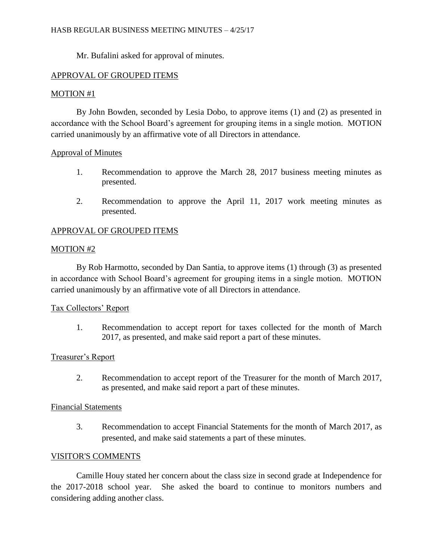Mr. Bufalini asked for approval of minutes.

# APPROVAL OF GROUPED ITEMS

# MOTION #1

By John Bowden, seconded by Lesia Dobo, to approve items (1) and (2) as presented in accordance with the School Board's agreement for grouping items in a single motion. MOTION carried unanimously by an affirmative vote of all Directors in attendance.

### Approval of Minutes

- 1. Recommendation to approve the March 28, 2017 business meeting minutes as presented.
- 2. Recommendation to approve the April 11, 2017 work meeting minutes as presented.

# APPROVAL OF GROUPED ITEMS

# MOTION #2

By Rob Harmotto, seconded by Dan Santia, to approve items (1) through (3) as presented in accordance with School Board's agreement for grouping items in a single motion. MOTION carried unanimously by an affirmative vote of all Directors in attendance.

# Tax Collectors' Report

1. Recommendation to accept report for taxes collected for the month of March 2017, as presented, and make said report a part of these minutes.

# Treasurer's Report

2. Recommendation to accept report of the Treasurer for the month of March 2017, as presented, and make said report a part of these minutes.

#### Financial Statements

3. Recommendation to accept Financial Statements for the month of March 2017, as presented, and make said statements a part of these minutes.

# VISITOR'S COMMENTS

Camille Houy stated her concern about the class size in second grade at Independence for the 2017-2018 school year. She asked the board to continue to monitors numbers and considering adding another class.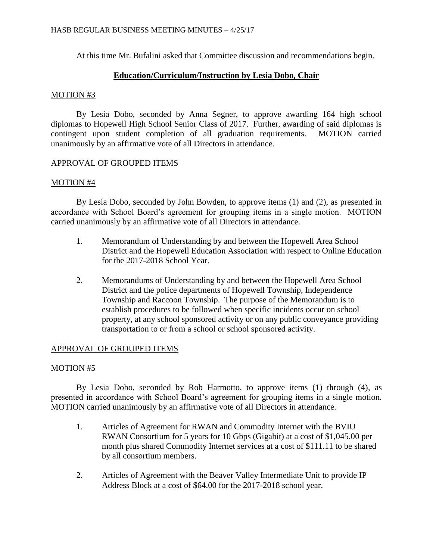At this time Mr. Bufalini asked that Committee discussion and recommendations begin.

# **Education/Curriculum/Instruction by Lesia Dobo, Chair**

### MOTION #3

By Lesia Dobo, seconded by Anna Segner, to approve awarding 164 high school diplomas to Hopewell High School Senior Class of 2017. Further, awarding of said diplomas is contingent upon student completion of all graduation requirements. MOTION carried unanimously by an affirmative vote of all Directors in attendance.

# APPROVAL OF GROUPED ITEMS

# MOTION #4

By Lesia Dobo, seconded by John Bowden, to approve items (1) and (2), as presented in accordance with School Board's agreement for grouping items in a single motion. MOTION carried unanimously by an affirmative vote of all Directors in attendance.

- 1. Memorandum of Understanding by and between the Hopewell Area School District and the Hopewell Education Association with respect to Online Education for the 2017-2018 School Year.
- 2. Memorandums of Understanding by and between the Hopewell Area School District and the police departments of Hopewell Township, Independence Township and Raccoon Township. The purpose of the Memorandum is to establish procedures to be followed when specific incidents occur on school property, at any school sponsored activity or on any public conveyance providing transportation to or from a school or school sponsored activity.

# APPROVAL OF GROUPED ITEMS

# MOTION #5

By Lesia Dobo, seconded by Rob Harmotto, to approve items (1) through (4), as presented in accordance with School Board's agreement for grouping items in a single motion. MOTION carried unanimously by an affirmative vote of all Directors in attendance.

- 1. Articles of Agreement for RWAN and Commodity Internet with the BVIU RWAN Consortium for 5 years for 10 Gbps (Gigabit) at a cost of \$1,045.00 per month plus shared Commodity Internet services at a cost of \$111.11 to be shared by all consortium members.
- 2. Articles of Agreement with the Beaver Valley Intermediate Unit to provide IP Address Block at a cost of \$64.00 for the 2017-2018 school year.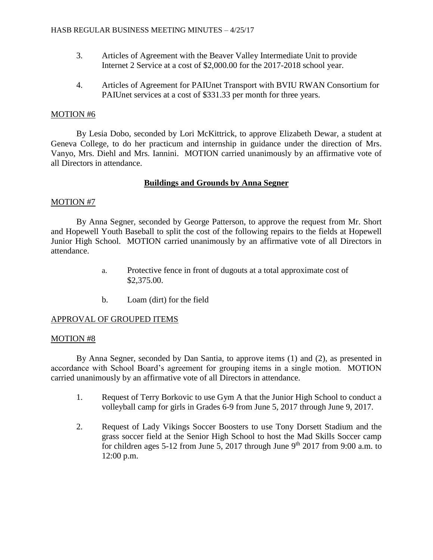- 3. Articles of Agreement with the Beaver Valley Intermediate Unit to provide Internet 2 Service at a cost of \$2,000.00 for the 2017-2018 school year.
- 4. Articles of Agreement for PAIUnet Transport with BVIU RWAN Consortium for PAIUnet services at a cost of \$331.33 per month for three years.

# MOTION #6

By Lesia Dobo, seconded by Lori McKittrick, to approve Elizabeth Dewar, a student at Geneva College, to do her practicum and internship in guidance under the direction of Mrs. Vanyo, Mrs. Diehl and Mrs. Iannini. MOTION carried unanimously by an affirmative vote of all Directors in attendance.

# **Buildings and Grounds by Anna Segner**

# MOTION #7

By Anna Segner, seconded by George Patterson, to approve the request from Mr. Short and Hopewell Youth Baseball to split the cost of the following repairs to the fields at Hopewell Junior High School. MOTION carried unanimously by an affirmative vote of all Directors in attendance.

- a. Protective fence in front of dugouts at a total approximate cost of \$2,375.00.
- b. Loam (dirt) for the field

# APPROVAL OF GROUPED ITEMS

# MOTION #8

By Anna Segner, seconded by Dan Santia, to approve items (1) and (2), as presented in accordance with School Board's agreement for grouping items in a single motion. MOTION carried unanimously by an affirmative vote of all Directors in attendance.

- 1. Request of Terry Borkovic to use Gym A that the Junior High School to conduct a volleyball camp for girls in Grades 6-9 from June 5, 2017 through June 9, 2017.
- 2. Request of Lady Vikings Soccer Boosters to use Tony Dorsett Stadium and the grass soccer field at the Senior High School to host the Mad Skills Soccer camp for children ages 5-12 from June 5, 2017 through June  $9<sup>th</sup>$  2017 from 9:00 a.m. to 12:00 p.m.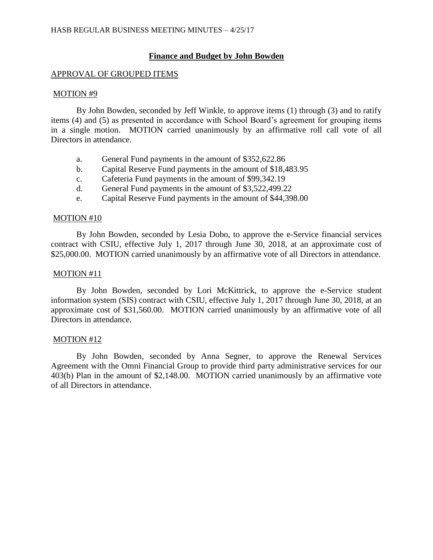# **Finance and Budget by John Bowden**

# APPROVAL OF GROUPED ITEMS

### MOTION #9

By John Bowden, seconded by Jeff Winkle, to approve items (1) through (3) and to ratify items (4) and (5) as presented in accordance with School Board's agreement for grouping items in a single motion. MOTION carried unanimously by an affirmative roll call vote of all Directors in attendance.

- a. General Fund payments in the amount of \$352,622.86
- b. Capital Reserve Fund payments in the amount of \$18,483.95
- c. Cafeteria Fund payments in the amount of \$99,342.19
- d. General Fund payments in the amount of \$3,522,499.22
- e. Capital Reserve Fund payments in the amount of \$44,398.00

### MOTION #10

By John Bowden, seconded by Lesia Dobo, to approve the e-Service financial services contract with CSIU, effective July 1, 2017 through June 30, 2018, at an approximate cost of \$25,000.00. MOTION carried unanimously by an affirmative vote of all Directors in attendance.

# MOTION #11

By John Bowden, seconded by Lori McKittrick, to approve the e-Service student information system (SIS) contract with CSIU, effective July 1, 2017 through June 30, 2018, at an approximate cost of \$31,560.00. MOTION carried unanimously by an affirmative vote of all Directors in attendance.

#### MOTION #12

By John Bowden, seconded by Anna Segner, to approve the Renewal Services Agreement with the Omni Financial Group to provide third party administrative services for our 403(b) Plan in the amount of \$2,148.00. MOTION carried unanimously by an affirmative vote of all Directors in attendance.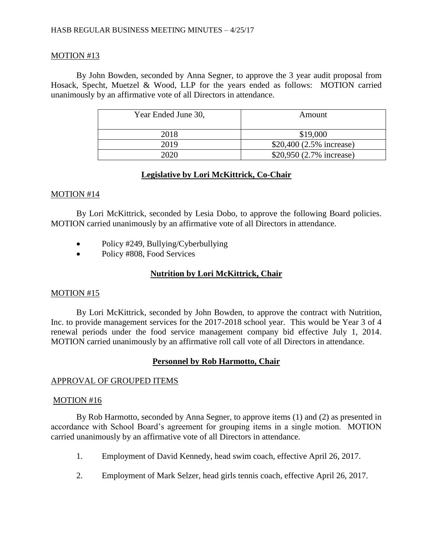### HASB REGULAR BUSINESS MEETING MINUTES – 4/25/17

### MOTION #13

By John Bowden, seconded by Anna Segner, to approve the 3 year audit proposal from Hosack, Specht, Muetzel & Wood, LLP for the years ended as follows: MOTION carried unanimously by an affirmative vote of all Directors in attendance.

| Year Ended June 30, | Amount                   |
|---------------------|--------------------------|
| 2018                | \$19,000                 |
| 2019                | \$20,400 (2.5% increase) |
| 202 $\Omega$        | \$20,950 (2.7% increase) |

### **Legislative by Lori McKittrick, Co-Chair**

#### MOTION #14

By Lori McKittrick, seconded by Lesia Dobo, to approve the following Board policies. MOTION carried unanimously by an affirmative vote of all Directors in attendance.

- Policy #249, Bullying/Cyberbullying
- Policy #808, Food Services

# **Nutrition by Lori McKittrick, Chair**

#### MOTION #15

By Lori McKittrick, seconded by John Bowden, to approve the contract with Nutrition, Inc. to provide management services for the 2017-2018 school year. This would be Year 3 of 4 renewal periods under the food service management company bid effective July 1, 2014. MOTION carried unanimously by an affirmative roll call vote of all Directors in attendance.

# **Personnel by Rob Harmotto, Chair**

#### APPROVAL OF GROUPED ITEMS

#### MOTION #16

By Rob Harmotto, seconded by Anna Segner, to approve items (1) and (2) as presented in accordance with School Board's agreement for grouping items in a single motion. MOTION carried unanimously by an affirmative vote of all Directors in attendance.

- 1. Employment of David Kennedy, head swim coach, effective April 26, 2017.
- 2. Employment of Mark Selzer, head girls tennis coach, effective April 26, 2017.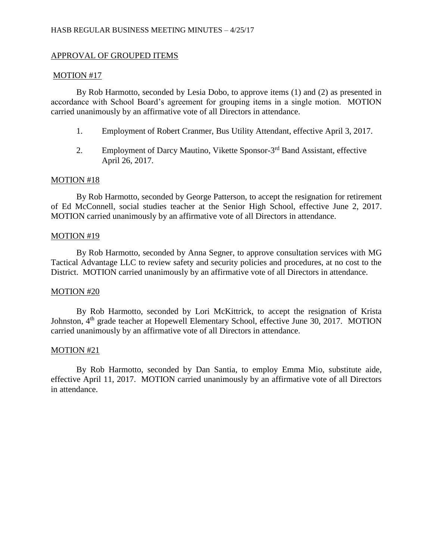# APPROVAL OF GROUPED ITEMS

### MOTION #17

By Rob Harmotto, seconded by Lesia Dobo, to approve items (1) and (2) as presented in accordance with School Board's agreement for grouping items in a single motion. MOTION carried unanimously by an affirmative vote of all Directors in attendance.

- 1. Employment of Robert Cranmer, Bus Utility Attendant, effective April 3, 2017.
- 2. Employment of Darcy Mautino, Vikette Sponsor-3<sup>rd</sup> Band Assistant, effective April 26, 2017.

### MOTION #18

By Rob Harmotto, seconded by George Patterson, to accept the resignation for retirement of Ed McConnell, social studies teacher at the Senior High School, effective June 2, 2017. MOTION carried unanimously by an affirmative vote of all Directors in attendance.

### MOTION #19

By Rob Harmotto, seconded by Anna Segner, to approve consultation services with MG Tactical Advantage LLC to review safety and security policies and procedures, at no cost to the District. MOTION carried unanimously by an affirmative vote of all Directors in attendance.

#### MOTION #20

By Rob Harmotto, seconded by Lori McKittrick, to accept the resignation of Krista Johnston, 4<sup>th</sup> grade teacher at Hopewell Elementary School, effective June 30, 2017. MOTION carried unanimously by an affirmative vote of all Directors in attendance.

#### MOTION #21

By Rob Harmotto, seconded by Dan Santia, to employ Emma Mio, substitute aide, effective April 11, 2017. MOTION carried unanimously by an affirmative vote of all Directors in attendance.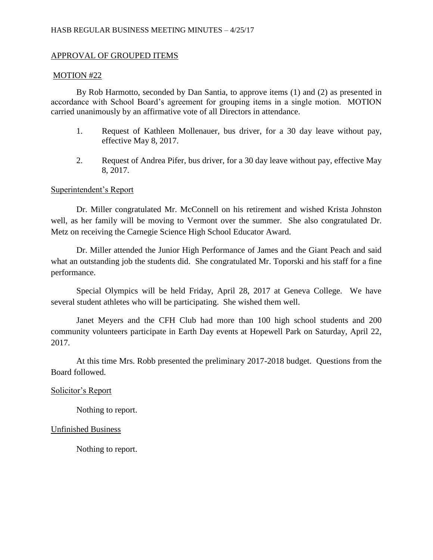# APPROVAL OF GROUPED ITEMS

### MOTION #22

By Rob Harmotto, seconded by Dan Santia, to approve items (1) and (2) as presented in accordance with School Board's agreement for grouping items in a single motion. MOTION carried unanimously by an affirmative vote of all Directors in attendance.

- 1. Request of Kathleen Mollenauer, bus driver, for a 30 day leave without pay, effective May 8, 2017.
- 2. Request of Andrea Pifer, bus driver, for a 30 day leave without pay, effective May 8, 2017.

# Superintendent's Report

Dr. Miller congratulated Mr. McConnell on his retirement and wished Krista Johnston well, as her family will be moving to Vermont over the summer. She also congratulated Dr. Metz on receiving the Carnegie Science High School Educator Award.

Dr. Miller attended the Junior High Performance of James and the Giant Peach and said what an outstanding job the students did. She congratulated Mr. Toporski and his staff for a fine performance.

Special Olympics will be held Friday, April 28, 2017 at Geneva College. We have several student athletes who will be participating. She wished them well.

Janet Meyers and the CFH Club had more than 100 high school students and 200 community volunteers participate in Earth Day events at Hopewell Park on Saturday, April 22, 2017.

At this time Mrs. Robb presented the preliminary 2017-2018 budget. Questions from the Board followed.

# Solicitor's Report

Nothing to report.

# Unfinished Business

Nothing to report.